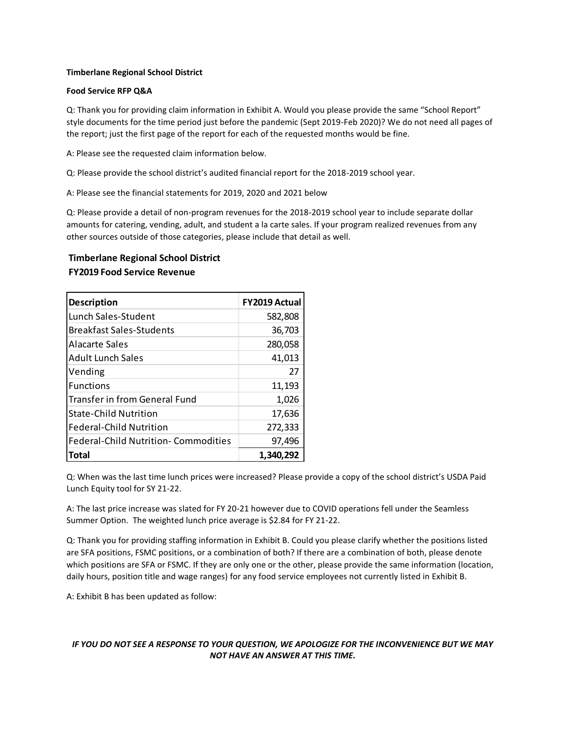#### **Timberlane Regional School District**

#### **Food Service RFP Q&A**

Q: Thank you for providing claim information in Exhibit A. Would you please provide the same "School Report" style documents for the time period just before the pandemic (Sept 2019-Feb 2020)? We do not need all pages of the report; just the first page of the report for each of the requested months would be fine.

A: Please see the requested claim information below.

Q: Please provide the school district's audited financial report for the 2018-2019 school year.

A: Please see the financial statements for 2019, 2020 and 2021 below

Q: Please provide a detail of non-program revenues for the 2018-2019 school year to include separate dollar amounts for catering, vending, adult, and student a la carte sales. If your program realized revenues from any other sources outside of those categories, please include that detail as well.

# **Timberlane Regional School District FY2019 Food Service Revenue**

| <b>Description</b>                          | FY2019 Actual |
|---------------------------------------------|---------------|
| Lunch Sales-Student                         | 582,808       |
| <b>Breakfast Sales-Students</b>             | 36,703        |
| Alacarte Sales                              | 280,058       |
| <b>Adult Lunch Sales</b>                    | 41,013        |
| Vending                                     | 27            |
| <b>Functions</b>                            | 11,193        |
| <b>Transfer in from General Fund</b>        | 1,026         |
| <b>State-Child Nutrition</b>                | 17,636        |
| <b>Federal-Child Nutrition</b>              | 272,333       |
| <b>Federal-Child Nutrition- Commodities</b> | 97,496        |
| Total                                       | 1,340,292     |

Q: When was the last time lunch prices were increased? Please provide a copy of the school district's USDA Paid Lunch Equity tool for SY 21-22.

A: The last price increase was slated for FY 20-21 however due to COVID operations fell under the Seamless Summer Option. The weighted lunch price average is \$2.84 for FY 21-22.

Q: Thank you for providing staffing information in Exhibit B. Could you please clarify whether the positions listed are SFA positions, FSMC positions, or a combination of both? If there are a combination of both, please denote which positions are SFA or FSMC. If they are only one or the other, please provide the same information (location, daily hours, position title and wage ranges) for any food service employees not currently listed in Exhibit B.

A: Exhibit B has been updated as follow: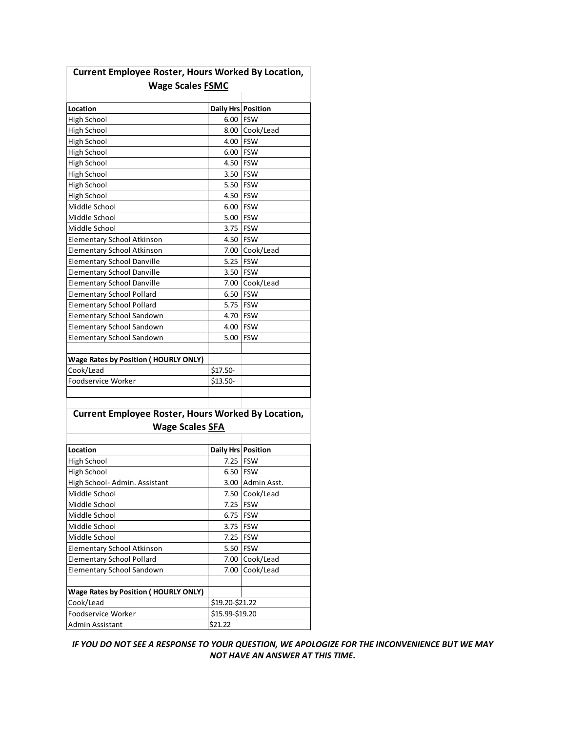| <b>Wage Scales FSMC</b>                                   |                    |                |
|-----------------------------------------------------------|--------------------|----------------|
| Location                                                  | Daily Hrs Position |                |
| High School                                               | 6.00 FSW           |                |
| High School                                               |                    | 8.00 Cook/Lead |
| High School                                               | 4.00               | <b>FSW</b>     |
| High School                                               | 6.00 FSW           |                |
| High School                                               | 4.50 FSW           |                |
| High School                                               | 3.50 FSW           |                |
| High School                                               | 5.50 FSW           |                |
| High School                                               | 4.50 FSW           |                |
| Middle School                                             | 6.00 FSW           |                |
| Middle School                                             | 5.00               | <b>FSW</b>     |
| Middle School                                             | 3.75 FSW           |                |
| <b>Elementary School Atkinson</b>                         | 4.50 FSW           |                |
| <b>Elementary School Atkinson</b>                         | 7.00               | Cook/Lead      |
| <b>Elementary School Danville</b>                         | 5.25               | <b>IFSW</b>    |
| <b>Elementary School Danville</b>                         | 3.50 FSW           |                |
| <b>Elementary School Danville</b>                         |                    | 7.00 Cook/Lead |
| <b>Elementary School Pollard</b>                          | 6.50 FSW           |                |
| <b>Elementary School Pollard</b>                          | 5.75 FSW           |                |
| <b>Elementary School Sandown</b>                          | 4.70               | <b>IFSW</b>    |
| <b>Elementary School Sandown</b>                          | 4.00 FSW           |                |
| <b>Elementary School Sandown</b>                          | 5.00               | <b>FSW</b>     |
|                                                           |                    |                |
| <b>Wage Rates by Position ( HOURLY ONLY)</b>              |                    |                |
| Cook/Lead                                                 | \$17.50-           |                |
| Foodservice Worker                                        | \$13.50-           |                |
|                                                           |                    |                |
| <b>Current Employee Roster, Hours Worked By Location,</b> |                    |                |
| <b>Wage Scales SFA</b>                                    |                    |                |

# **Current Employee Roster, Hours Worked By Location,**

| Location                                     | <b>Daily Hrs Position</b> |             |
|----------------------------------------------|---------------------------|-------------|
| High School                                  | 7.25 FSW                  |             |
| High School                                  | 6.50                      | <b>IFSW</b> |
| High School- Admin. Assistant                | 3.00                      | Admin Asst. |
| Middle School                                | 7.50                      | Cook/Lead   |
| Middle School                                | 7.25                      | <b>FSW</b>  |
| Middle School                                | 6.75                      | <b>FSW</b>  |
| Middle School                                | 3.75                      | <b>IFSW</b> |
| Middle School                                | 7.25                      | <b>FSW</b>  |
| <b>Elementary School Atkinson</b>            | 5.50 FSW                  |             |
| Elementary School Pollard                    | 7.00                      | Cook/Lead   |
| Elementary School Sandown                    | 7.00                      | Cook/Lead   |
|                                              |                           |             |
| <b>Wage Rates by Position ( HOURLY ONLY)</b> |                           |             |
| Cook/Lead                                    | \$19.20-\$21.22           |             |
| Foodservice Worker                           | \$15.99-\$19.20           |             |
| Admin Assistant                              | \$21.22                   |             |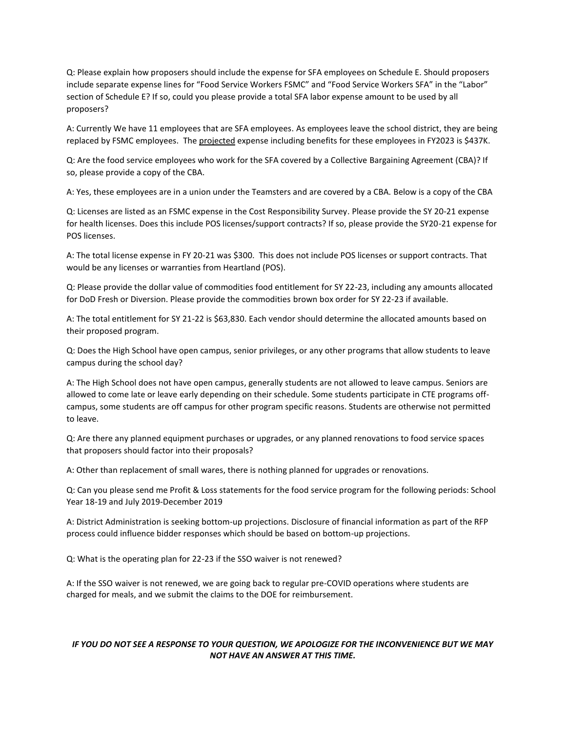Q: Please explain how proposers should include the expense for SFA employees on Schedule E. Should proposers include separate expense lines for "Food Service Workers FSMC" and "Food Service Workers SFA" in the "Labor" section of Schedule E? If so, could you please provide a total SFA labor expense amount to be used by all proposers?

A: Currently We have 11 employees that are SFA employees. As employees leave the school district, they are being replaced by FSMC employees. The projected expense including benefits for these employees in FY2023 is \$437K.

Q: Are the food service employees who work for the SFA covered by a Collective Bargaining Agreement (CBA)? If so, please provide a copy of the CBA.

A: Yes, these employees are in a union under the Teamsters and are covered by a CBA. Below is a copy of the CBA

Q: Licenses are listed as an FSMC expense in the Cost Responsibility Survey. Please provide the SY 20-21 expense for health licenses. Does this include POS licenses/support contracts? If so, please provide the SY20-21 expense for POS licenses.

A: The total license expense in FY 20-21 was \$300. This does not include POS licenses or support contracts. That would be any licenses or warranties from Heartland (POS).

Q: Please provide the dollar value of commodities food entitlement for SY 22-23, including any amounts allocated for DoD Fresh or Diversion. Please provide the commodities brown box order for SY 22-23 if available.

A: The total entitlement for SY 21-22 is \$63,830. Each vendor should determine the allocated amounts based on their proposed program.

Q: Does the High School have open campus, senior privileges, or any other programs that allow students to leave campus during the school day?

A: The High School does not have open campus, generally students are not allowed to leave campus. Seniors are allowed to come late or leave early depending on their schedule. Some students participate in CTE programs offcampus, some students are off campus for other program specific reasons. Students are otherwise not permitted to leave.

Q: Are there any planned equipment purchases or upgrades, or any planned renovations to food service spaces that proposers should factor into their proposals?

A: Other than replacement of small wares, there is nothing planned for upgrades or renovations.

Q: Can you please send me Profit & Loss statements for the food service program for the following periods: School Year 18-19 and July 2019-December 2019

A: District Administration is seeking bottom-up projections. Disclosure of financial information as part of the RFP process could influence bidder responses which should be based on bottom-up projections.

Q: What is the operating plan for 22-23 if the SSO waiver is not renewed?

A: If the SSO waiver is not renewed, we are going back to regular pre-COVID operations where students are charged for meals, and we submit the claims to the DOE for reimbursement.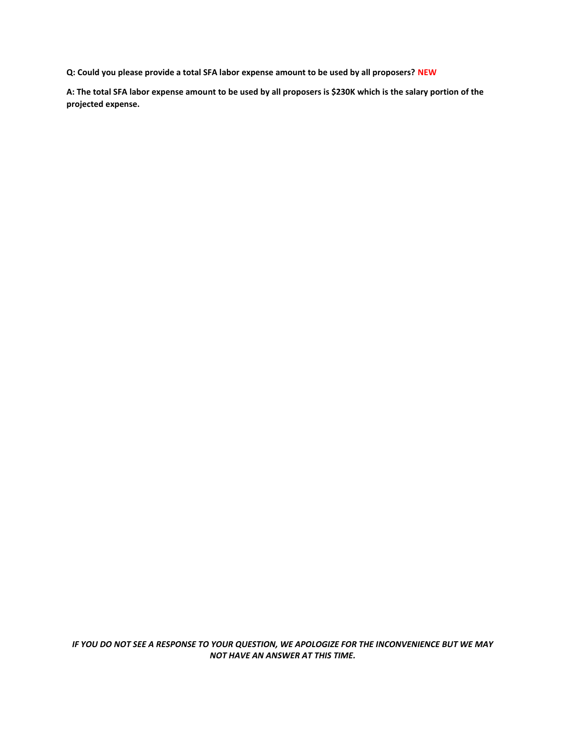**Q: Could you please provide a total SFA labor expense amount to be used by all proposers? NEW**

**A: The total SFA labor expense amount to be used by all proposers is \$230K which is the salary portion of the projected expense.**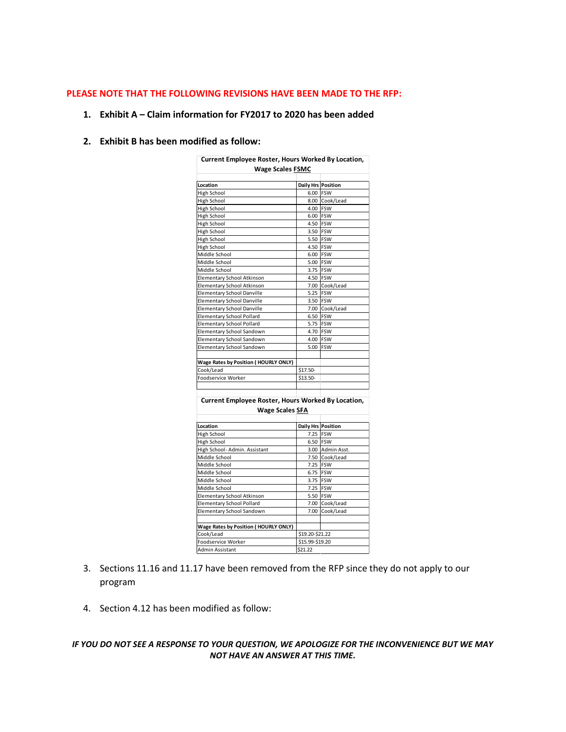### **PLEASE NOTE THAT THE FOLLOWING REVISIONS HAVE BEEN MADE TO THE RFP:**

#### **1. Exhibit A – Claim information for FY2017 to 2020 has been added**

# **2. Exhibit B has been modified as follow:**

| Current Employee Roster, Hours Worked By Location, |                           |                  |  |
|----------------------------------------------------|---------------------------|------------------|--|
| <b>Wage Scales FSMC</b>                            |                           |                  |  |
|                                                    |                           |                  |  |
| Location                                           | <b>Daily Hrs Position</b> |                  |  |
| High School                                        | 6.00 FSW                  |                  |  |
| High School                                        |                           | 8.00 Cook/Lead   |  |
| High School                                        | 4.00 FSW                  |                  |  |
| High School                                        | 6.00 FSW                  |                  |  |
| High School                                        | 4.50 FSW                  |                  |  |
| High School                                        | 3.50 FSW                  |                  |  |
| High School                                        | 5.50 FSW                  |                  |  |
| High School                                        | 4.50 FSW                  |                  |  |
| Middle School                                      | 6.00 FSW                  |                  |  |
| Middle School                                      | 5.00 FSW                  |                  |  |
| Middle School                                      | 3.75 FSW                  |                  |  |
| Elementary School Atkinson                         | 4.50 FSW                  |                  |  |
| Elementary School Atkinson                         |                           | 7.00 Cook/Lead   |  |
| Elementary School Danville                         | 5.25 FSW                  |                  |  |
| Elementary School Danville                         | 3.50 FSW                  |                  |  |
| Elementary School Danville                         |                           | 7.00 Cook/Lead   |  |
| Elementary School Pollard                          | 6.50 FSW                  |                  |  |
| Elementary School Pollard                          | 5.75 FSW                  |                  |  |
| Elementary School Sandown                          | 4.70 FSW                  |                  |  |
| Elementary School Sandown                          | 4.00 FSW                  |                  |  |
| Elementary School Sandown                          | 5.00 FSW                  |                  |  |
|                                                    |                           |                  |  |
| Wage Rates by Position (HOURLY ONLY)               |                           |                  |  |
| Cook/Lead                                          | \$17.50-                  |                  |  |
| Foodservice Worker                                 | \$13.50-                  |                  |  |
|                                                    |                           |                  |  |
|                                                    |                           |                  |  |
| Current Employee Roster, Hours Worked By Location, |                           |                  |  |
| Wage Scales SFA                                    |                           |                  |  |
|                                                    |                           |                  |  |
| Location                                           | Daily Hrs Position        |                  |  |
| High School                                        | 7.25 FSW                  |                  |  |
| High School                                        | 6.50 FSW                  |                  |  |
| High School- Admin. Assistant                      |                           | 3.00 Admin Asst. |  |
| Middle School                                      |                           | 7.50 Cook/Lead   |  |
| Middle School                                      | 7.25 FSW                  |                  |  |
| Middle School                                      | 6.75 FSW                  |                  |  |
| Middle School                                      | 3.75 FSW                  |                  |  |
| Middle School                                      | 7.25 FSW                  |                  |  |
| Elementary School Atkinson                         | 5.50 FSW                  |                  |  |
| Elementary School Pollard                          |                           | 7.00 Cook/Lead   |  |
| Elementary School Sandown                          |                           | 7.00 Cook/Lead   |  |
|                                                    |                           |                  |  |
| Wage Rates by Position (HOURLY ONLY)               |                           |                  |  |
| Cook/Lead                                          | \$19.20-\$21.22           |                  |  |
| Foodservice Worker                                 | \$15.99-\$19.20           |                  |  |
|                                                    |                           |                  |  |

3. Sections 11.16 and 11.17 have been removed from the RFP since they do not apply to our program

\$21.22

4. Section 4.12 has been modified as follow:

Admin Assistant